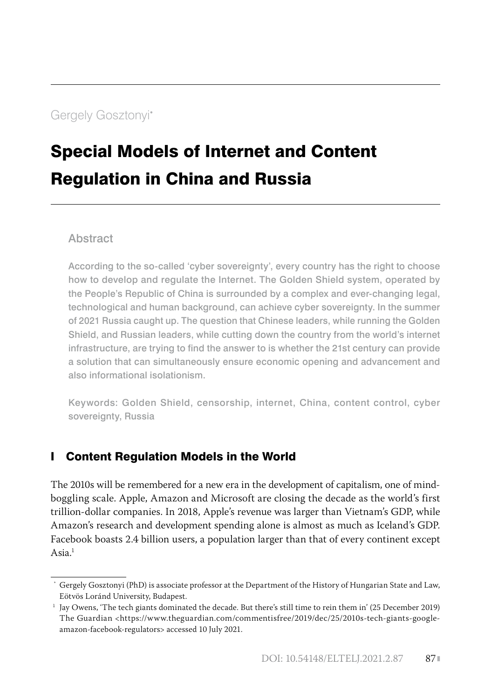# Special Models of Internet and Content Regulation in China and Russia

### **Abstract**

According to the so-called 'cyber sovereignty', every country has the right to choose how to develop and regulate the Internet. The Golden Shield system, operated by the People's Republic of China is surrounded by a complex and ever-changing legal, technological and human background, can achieve cyber sovereignty. In the summer of 2021 Russia caught up. The question that Chinese leaders, while running the Golden Shield, and Russian leaders, while cutting down the country from the world's internet infrastructure, are trying to find the answer to is whether the 21st century can provide a solution that can simultaneously ensure economic opening and advancement and also informational isolationism.

Keywords: Golden Shield, censorship, internet, China, content control, cyber sovereignty, Russia

## I Content Regulation Models in the World

The 2010s will be remembered for a new era in the development of capitalism, one of mindboggling scale. Apple, Amazon and Microsoft are closing the decade as the world's first trillion-dollar companies. In 2018, Apple's revenue was larger than Vietnam's GDP, while Amazon's research and development spending alone is almost as much as Iceland's GDP. Facebook boasts 2.4 billion users, a population larger than that of every continent except Asia $1$ 

Gergely Gosztonyi (PhD) is associate professor at the Department of the History of Hungarian State and Law, Eötvös Loránd University, Budapest.

<sup>&</sup>lt;sup>1</sup> Jay Owens, 'The tech giants dominated the decade. But there's still time to rein them in' (25 December 2019) The Guardian <https://www.theguardian.com/commentisfree/2019/dec/25/2010s-tech-giants-googleamazon-facebook-regulators> accessed 10 July 2021.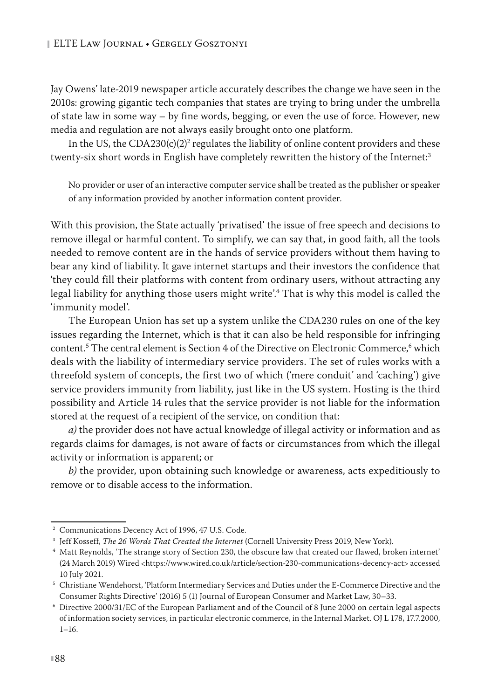Jay Owens' late-2019 newspaper article accurately describes the change we have seen in the 2010s: growing gigantic tech companies that states are trying to bring under the umbrella of state law in some way – by fine words, begging, or even the use of force. However, new media and regulation are not always easily brought onto one platform.

In the US, the  $\text{CDA230(c)(2)^2}$  regulates the liability of online content providers and these twenty-six short words in English have completely rewritten the history of the Internet:<sup>3</sup>

No provider or user of an interactive computer service shall be treated as the publisher or speaker of any information provided by another information content provider.

With this provision, the State actually 'privatised' the issue of free speech and decisions to remove illegal or harmful content. To simplify, we can say that, in good faith, all the tools needed to remove content are in the hands of service providers without them having to bear any kind of liability. It gave internet startups and their investors the confidence that 'they could fill their platforms with content from ordinary users, without attracting any legal liability for anything those users might write'.4 That is why this model is called the 'immunity model'.

The European Union has set up a system unlike the CDA230 rules on one of the key issues regarding the Internet, which is that it can also be held responsible for infringing content.<sup>5</sup> The central element is Section 4 of the Directive on Electronic Commerce,<sup>6</sup> which deals with the liability of intermediary service providers. The set of rules works with a threefold system of concepts, the first two of which ('mere conduit' and 'caching') give service providers immunity from liability, just like in the US system. Hosting is the third possibility and Article 14 rules that the service provider is not liable for the information stored at the request of a recipient of the service, on condition that:

*a)* the provider does not have actual knowledge of illegal activity or information and as regards claims for damages, is not aware of facts or circumstances from which the illegal activity or information is apparent; or

*b)* the provider, upon obtaining such knowledge or awareness, acts expeditiously to remove or to disable access to the information.

<sup>2</sup> Communications Decency Act of 1996, 47 U.S. Code.

<sup>3</sup> Jeff Kosseff, *The 26 Words That Created the Internet* (Cornell University Press 2019, New York).

<sup>4</sup> Matt Reynolds, 'The strange story of Section 230, the obscure law that created our flawed, broken internet' (24 March 2019) Wired <https://www.wired.co.uk/article/section-230-communications-decency-act> accessed 10 July 2021.

<sup>5</sup> Christiane Wendehorst, 'Platform Intermediary Services and Duties under the E-Commerce Directive and the Consumer Rights Directive' (2016) 5 (1) Journal of European Consumer and Market Law, 30–33.

<sup>6</sup> Directive 2000/31/EC of the European Parliament and of the Council of 8 June 2000 on certain legal aspects of information society services, in particular electronic commerce, in the Internal Market. OJ L 178, 17.7.2000, 1–16.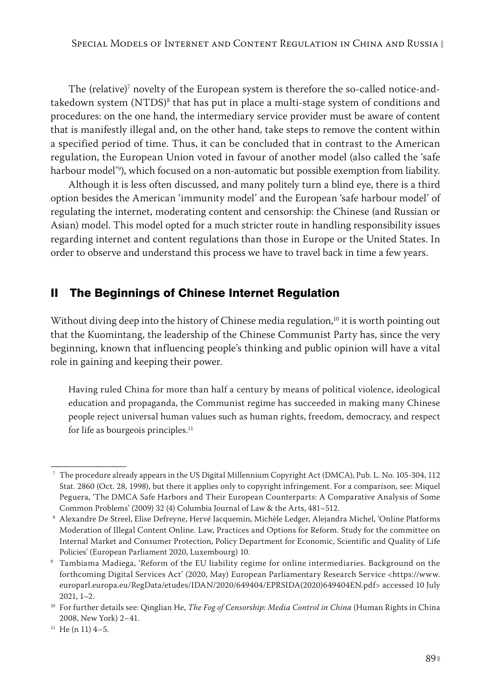The (relative) $\alpha$  novelty of the European system is therefore the so-called notice-andtakedown system (NTDS)<sup>s</sup> that has put in place a multi-stage system of conditions and procedures: on the one hand, the intermediary service provider must be aware of content that is manifestly illegal and, on the other hand, take steps to remove the content within a specified period of time. Thus, it can be concluded that in contrast to the American regulation, the European Union voted in favour of another model (also called the 'safe harbour model'9 ), which focused on a non-automatic but possible exemption from liability.

Although it is less often discussed, and many politely turn a blind eye, there is a third option besides the American 'immunity model' and the European 'safe harbour model' of regulating the internet, moderating content and censorship: the Chinese (and Russian or Asian) model. This model opted for a much stricter route in handling responsibility issues regarding internet and content regulations than those in Europe or the United States. In order to observe and understand this process we have to travel back in time a few years.

#### II The Beginnings of Chinese Internet Regulation

Without diving deep into the history of Chinese media regulation, $10$  it is worth pointing out that the Kuomintang, the leadership of the Chinese Communist Party has, since the very beginning, known that influencing people's thinking and public opinion will have a vital role in gaining and keeping their power.

Having ruled China for more than half a century by means of political violence, ideological education and propaganda, the Communist regime has succeeded in making many Chinese people reject universal human values such as human rights, freedom, democracy, and respect for life as bourgeois principles. $11$ 

<sup>7</sup> The procedure already appears in the US Digital Millennium Copyright Act (DMCA), Pub. L. No. 105-304, 112 Stat. 2860 (Oct. 28, 1998), but there it applies only to copyright infringement. For a comparison, see: Miquel Peguera, 'The DMCA Safe Harbors and Their European Counterparts: A Comparative Analysis of Some Common Problems' (2009) 32 (4) Columbia Journal of Law & the Arts, 481–512.

<sup>8</sup> Alexandre De Streel, Elise Defreyne, Hervé Jacquemin, Michèle Ledger, Alejandra Michel, 'Online Platforms Moderation of Illegal Content Online. Law, Practices and Options for Reform. Study for the committee on Internal Market and Consumer Protection, Policy Department for Economic, Scientific and Quality of Life Policies' (European Parliament 2020, Luxembourg) 10.

<sup>9</sup> Tambiama Madiega, 'Reform of the EU liability regime for online intermediaries. Background on the forthcoming Digital Services Act' (2020, May) European Parliamentary Research Service <https://www. europarl.europa.eu/RegData/etudes/IDAN/2020/649404/EPRSIDA(2020)649404EN.pdf> accessed 10 July 2021, 1–2.

<sup>10</sup> For further details see: Qinglian He, *The Fog of Censorship: Media Control in China* (Human Rights in China 2008, New York) 2–41.

 $11$  He (n 11) 4-5.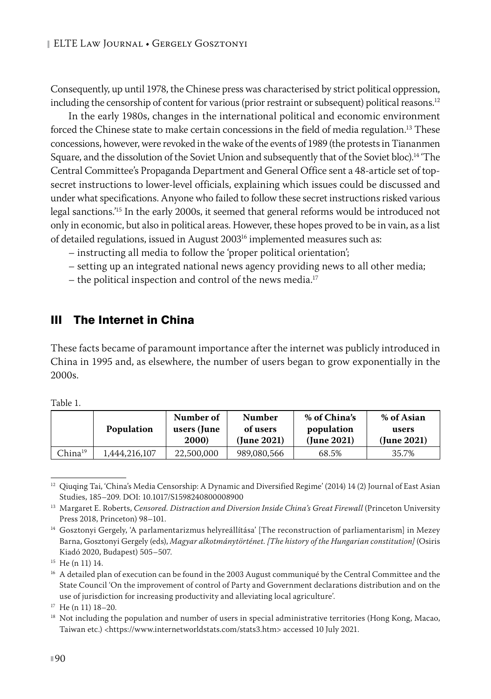Consequently, up until 1978, the Chinese press was characterised by strict political oppression, including the censorship of content for various (prior restraint or subsequent) political reasons.<sup>12</sup>

In the early 1980s, changes in the international political and economic environment forced the Chinese state to make certain concessions in the field of media regulation.<sup>13</sup> These concessions, however, were revoked in the wake of the events of 1989 (the protests in Tiananmen Square, and the dissolution of the Soviet Union and subsequently that of the Soviet bloc).14 'The Central Committee's Propaganda Department and General Office sent a 48-article set of topsecret instructions to lower-level officials, explaining which issues could be discussed and under what specifications. Anyone who failed to follow these secret instructions risked various legal sanctions.'15 In the early 2000s, it seemed that general reforms would be introduced not only in economic, but also in political areas. However, these hopes proved to be in vain, as a list of detailed regulations, issued in August 2003<sup>16</sup> implemented measures such as:

- instructing all media to follow the 'proper political orientation';
- setting up an integrated national news agency providing news to all other media;
- the political inspection and control of the news media.<sup>17</sup>

#### III The Internet in China

These facts became of paramount importance after the internet was publicly introduced in China in 1995 and, as elsewhere, the number of users began to grow exponentially in the 2000s.

|                     | <b>Population</b> | Number of<br>users (June<br>2000) | <b>Number</b><br>of users<br>(June 2021) | % of China's<br>population<br>$($ June 2021 $)$ | % of Asian<br>users<br>(June 2021) |
|---------------------|-------------------|-----------------------------------|------------------------------------------|-------------------------------------------------|------------------------------------|
| China <sup>19</sup> | .444.216.107      | 22,500,000                        | 989,080,566                              | 68.5%                                           | 35.7%                              |

Table 1.18

<sup>&</sup>lt;sup>12</sup> Qiuqing Tai, 'China's Media Censorship: A Dynamic and Diversified Regime' (2014) 14 (2) Journal of East Asian Studies, 185–209. DOI: 10.1017/S1598240800008900

<sup>&</sup>lt;sup>13</sup> Margaret E. Roberts, *Censored. Distraction and Diversion Inside China's Great Firewall* (Princeton University Press 2018, Princeton) 98–101.

<sup>&</sup>lt;sup>14</sup> Gosztonyi Gergely, 'A parlamentarizmus helyreállítása' [The reconstruction of parliamentarism] in Mezey Barna, Gosztonyi Gergely (eds), *Magyar alkotmánytörténet. [The history of the Hungarian constitution]* (Osiris Kiadó 2020, Budapest) 505–507.

<sup>15</sup> He (n 11) 14.

<sup>&</sup>lt;sup>16</sup> A detailed plan of execution can be found in the 2003 August communiqué by the Central Committee and the State Council 'On the improvement of control of Party and Government declarations distribution and on the use of jurisdiction for increasing productivity and alleviating local agriculture'.

<sup>17</sup> He (n 11) 18–20.

<sup>&</sup>lt;sup>18</sup> Not including the population and number of users in special administrative territories (Hong Kong, Macao, Taiwan etc.) <https://www.internetworldstats.com/stats3.htm> accessed 10 July 2021.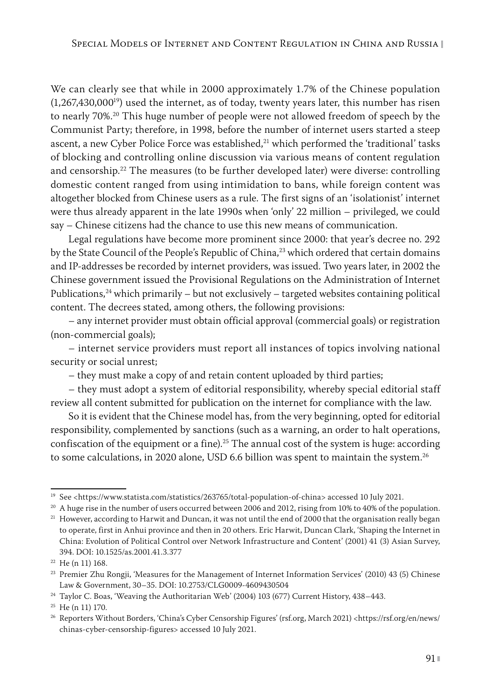We can clearly see that while in 2000 approximately 1.7% of the Chinese population  $(1,267,430,000^{19})$  used the internet, as of today, twenty years later, this number has risen to nearly 70%.20 This huge number of people were not allowed freedom of speech by the Communist Party; therefore, in 1998, before the number of internet users started a steep ascent, a new Cyber Police Force was established, $21$  which performed the 'traditional' tasks of blocking and controlling online discussion via various means of content regulation and censorship.22 The measures (to be further developed later) were diverse: controlling domestic content ranged from using intimidation to bans, while foreign content was altogether blocked from Chinese users as a rule. The first signs of an 'isolationist' internet were thus already apparent in the late 1990s when 'only' 22 million – privileged, we could say – Chinese citizens had the chance to use this new means of communication.

Legal regulations have become more prominent since 2000: that year's decree no. 292 by the State Council of the People's Republic of China,<sup>23</sup> which ordered that certain domains and IP-addresses be recorded by internet providers, was issued. Two years later, in 2002 the Chinese government issued the Provisional Regulations on the Administration of Internet Publications, $24$  which primarily – but not exclusively – targeted websites containing political content. The decrees stated, among others, the following provisions:

– any internet provider must obtain official approval (commercial goals) or registration (non-commercial goals);

– internet service providers must report all instances of topics involving national security or social unrest;

– they must make a copy of and retain content uploaded by third parties;

– they must adopt a system of editorial responsibility, whereby special editorial staff review all content submitted for publication on the internet for compliance with the law.

So it is evident that the Chinese model has, from the very beginning, opted for editorial responsibility, complemented by sanctions (such as a warning, an order to halt operations, confiscation of the equipment or a fine).<sup>25</sup> The annual cost of the system is huge: according to some calculations, in 2020 alone, USD 6.6 billion was spent to maintain the system.<sup>26</sup>

<sup>&</sup>lt;sup>19</sup> See <https://www.statista.com/statistics/263765/total-population-of-china> accessed 10 July 2021.

 $20$  A huge rise in the number of users occurred between 2006 and 2012, rising from 10% to 40% of the population.

<sup>&</sup>lt;sup>21</sup> However, according to Harwit and Duncan, it was not until the end of 2000 that the organisation really began to operate, first in Anhui province and then in 20 others. Eric Harwit, Duncan Clark, 'Shaping the Internet in China: Evolution of Political Control over Network Infrastructure and Content' (2001) 41 (3) Asian Survey, 394. DOI: 10.1525/as.2001.41.3.377

<sup>22</sup> He (n 11) 168.

<sup>23</sup> Premier Zhu Rongji, 'Measures for the Management of Internet Information Services' (2010) 43 (5) Chinese Law & Government, 30–35. DOI: 10.2753/CLG0009-4609430504

<sup>&</sup>lt;sup>24</sup> Taylor C. Boas, 'Weaving the Authoritarian Web' (2004) 103 (677) Current History, 438-443.

<sup>25</sup> He (n 11) 170.

<sup>&</sup>lt;sup>26</sup> Reporters Without Borders, 'China's Cyber Censorship Figures' (rsf.org, March 2021) <https://rsf.org/en/news/ chinas-cyber-censorship-figures> accessed 10 July 2021.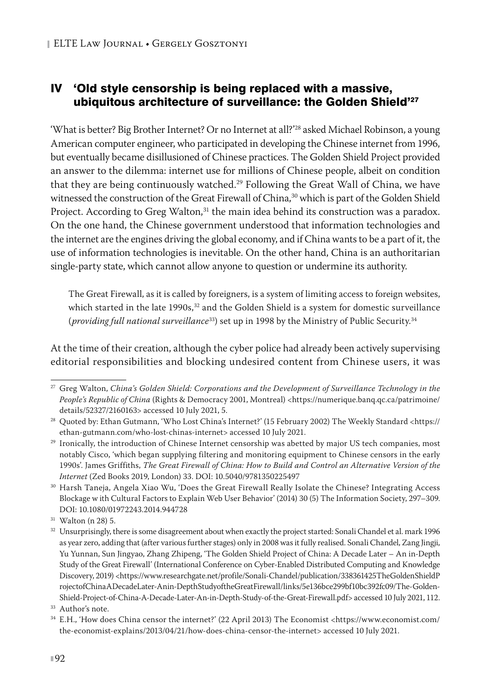## IV 'Old style censorship is being replaced with a massive, ubiquitous architecture of surveillance: the Golden Shield'27

'What is better? Big Brother Internet? Or no Internet at all?'28 asked Michael Robinson, a young American computer engineer, who participated in developing the Chinese internet from 1996, but eventually became disillusioned of Chinese practices. The Golden Shield Project provided an answer to the dilemma: internet use for millions of Chinese people, albeit on condition that they are being continuously watched.<sup>29</sup> Following the Great Wall of China, we have witnessed the construction of the Great Firewall of China,<sup>30</sup> which is part of the Golden Shield Project. According to Greg Walton,<sup>31</sup> the main idea behind its construction was a paradox. On the one hand, the Chinese government understood that information technologies and the internet are the engines driving the global economy, and if China wants to be a part of it, the use of information technologies is inevitable. On the other hand, China is an authoritarian single-party state, which cannot allow anyone to question or undermine its authority.

The Great Firewall, as it is called by foreigners, is a system of limiting access to foreign websites, which started in the late  $1990s$ ,<sup>32</sup> and the Golden Shield is a system for domestic surveillance (*providing full national surveillance*33) set up in 1998 by the Ministry of Public Security.34

At the time of their creation, although the cyber police had already been actively supervising editorial responsibilities and blocking undesired content from Chinese users, it was

<sup>27</sup> Greg Walton, *China's Golden Shield: Corporations and the Development of Surveillance Technology in the People's Republic of China* (Rights & Democracy 2001, Montreal) <https://numerique.banq.qc.ca/patrimoine/ details/52327/2160163> accessed 10 July 2021, 5.

<sup>28</sup> Quoted by: Ethan Gutmann, 'Who Lost China's Internet?' (15 February 2002) The Weekly Standard <https:// ethan-gutmann.com/who-lost-chinas-internet> accessed 10 July 2021.

<sup>&</sup>lt;sup>29</sup> Ironically, the introduction of Chinese Internet censorship was abetted by major US tech companies, most notably Cisco, 'which began supplying filtering and monitoring equipment to Chinese censors in the early 1990s'. James Griffiths, *The Great Firewall of China: How to Build and Control an Alternative Version of the Internet* (Zed Books 2019, London) 33. DOI: 10.5040/9781350225497

<sup>30</sup> Harsh Taneja, Angela Xiao Wu, 'Does the Great Firewall Really Isolate the Chinese? Integrating Access Blockage w ith Cultural Factors to Explain Web User Behavior' (2014) 30 (5) The Information Society, 297–309. DOI: 10.1080/01972243.2014.944728

 $31$  Walton (n 28) 5.

<sup>&</sup>lt;sup>32</sup> Unsurprisingly, there is some disagreement about when exactly the project started: Sonali Chandel et al. mark 1996 as year zero, adding that (after various further stages) only in 2008 was it fully realised. Sonali Chandel, Zang Jingji, Yu Yunnan, Sun Jingyao, Zhang Zhipeng, 'The Golden Shield Project of China: A Decade Later – An in-Depth Study of the Great Firewall' (International Conference on Cyber-Enabled Distributed Computing and Knowledge Discovery, 2019) <https://www.researchgate.net/profile/Sonali-Chandel/publication/338361425TheGoldenShieldP rojectofChinaADecadeLater-Anin-DepthStudyoftheGreatFirewall/links/5e136bce299bf10bc392fc09/The-Golden-Shield-Project-of-China-A-Decade-Later-An-in-Depth-Study-of-the-Great-Firewall.pdf> accessed 10 July 2021, 112.

<sup>&</sup>lt;sup>33</sup> Author's note.

<sup>34</sup> E.H., 'How does China censor the internet?' (22 April 2013) The Economist <https://www.economist.com/ the-economist-explains/2013/04/21/how-does-china-censor-the-internet> accessed 10 July 2021.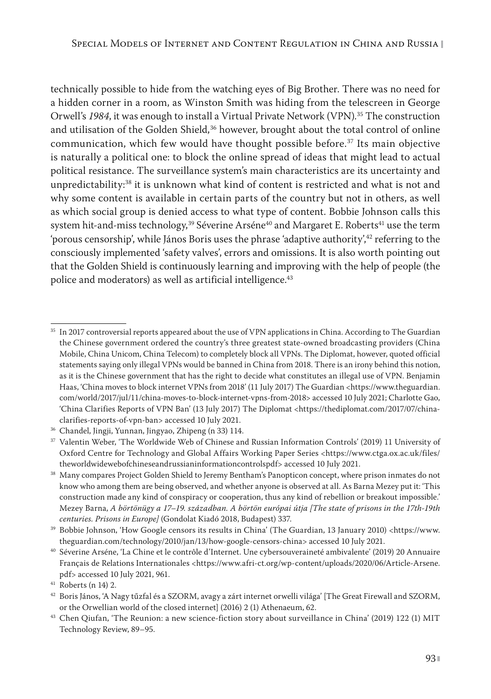technically possible to hide from the watching eyes of Big Brother. There was no need for a hidden corner in a room, as Winston Smith was hiding from the telescreen in George Orwell's 1984, it was enough to install a Virtual Private Network (VPN).<sup>35</sup> The construction and utilisation of the Golden Shield, $36$  however, brought about the total control of online communication, which few would have thought possible before.37 Its main objective is naturally a political one: to block the online spread of ideas that might lead to actual political resistance. The surveillance system's main characteristics are its uncertainty and unpredictability:38 it is unknown what kind of content is restricted and what is not and why some content is available in certain parts of the country but not in others, as well as which social group is denied access to what type of content. Bobbie Johnson calls this system hit-and-miss technology,<sup>39</sup> Séverine Arséne<sup>40</sup> and Margaret E. Roberts<sup>41</sup> use the term 'porous censorship', while János Boris uses the phrase 'adaptive authority',<sup>42</sup> referring to the consciously implemented 'safety valves', errors and omissions. It is also worth pointing out that the Golden Shield is continuously learning and improving with the help of people (the police and moderators) as well as artificial intelligence.<sup>43</sup>

<sup>&</sup>lt;sup>35</sup> In 2017 controversial reports appeared about the use of VPN applications in China. According to The Guardian the Chinese government ordered the country's three greatest state-owned broadcasting providers (China Mobile, China Unicom, China Telecom) to completely block all VPNs. The Diplomat, however, quoted official statements saying only illegal VPNs would be banned in China from 2018. There is an irony behind this notion, as it is the Chinese government that has the right to decide what constitutes an illegal use of VPN. Benjamin Haas, 'China moves to block internet VPNs from 2018' (11 July 2017) The Guardian <https://www.theguardian. com/world/2017/jul/11/china-moves-to-block-internet-vpns-from-2018> accessed 10 July 2021; Charlotte Gao, 'China Clarifies Reports of VPN Ban' (13 July 2017) The Diplomat <https://thediplomat.com/2017/07/chinaclarifies-reports-of-vpn-ban> accessed 10 July 2021.

<sup>36</sup> Chandel, Jingji, Yunnan, Jingyao, Zhipeng (n 33) 114.

<sup>37</sup> Valentin Weber, 'The Worldwide Web of Chinese and Russian Information Controls' (2019) 11 University of Oxford Centre for Technology and Global Affairs Working Paper Series <https://www.ctga.ox.ac.uk/files/ theworldwidewebofchineseandrussianinformationcontrolspdf> accessed 10 July 2021.

<sup>&</sup>lt;sup>38</sup> Many compares Project Golden Shield to Jeremy Bentham's Panopticon concept, where prison inmates do not know who among them are being observed, and whether anyone is observed at all. As Barna Mezey put it: 'This construction made any kind of conspiracy or cooperation, thus any kind of rebellion or breakout impossible.' Mezey Barna, *A börtönügy a 17–19. században. A börtön európai útja [The state of prisons in the 17th-19th centuries. Prisons in Europe]* (Gondolat Kiadó 2018, Budapest) 337.

<sup>39</sup> Bobbie Johnson, 'How Google censors its results in China' (The Guardian, 13 January 2010) <https://www. theguardian.com/technology/2010/jan/13/how-google-censors-china> accessed 10 July 2021.

<sup>40</sup> Séverine Arséne, 'La Chine et le contrôle d'Internet. Une cybersouveraineté ambivalente' (2019) 20 Annuaire Français de Relations Internationales <https://www.afri-ct.org/wp-content/uploads/2020/06/Article-Arsene. pdf> accessed 10 July 2021, 961.

<sup>41</sup> Roberts (n 14) 2.

<sup>42</sup> Boris János, 'A Nagy tűzfal és a SZORM, avagy a zárt internet orwelli világa' [The Great Firewall and SZORM, or the Orwellian world of the closed internet] (2016) 2 (1) Athenaeum, 62.

<sup>&</sup>lt;sup>43</sup> Chen Qiufan, 'The Reunion: a new science-fiction story about surveillance in China' (2019) 122 (1) MIT Technology Review, 89–95.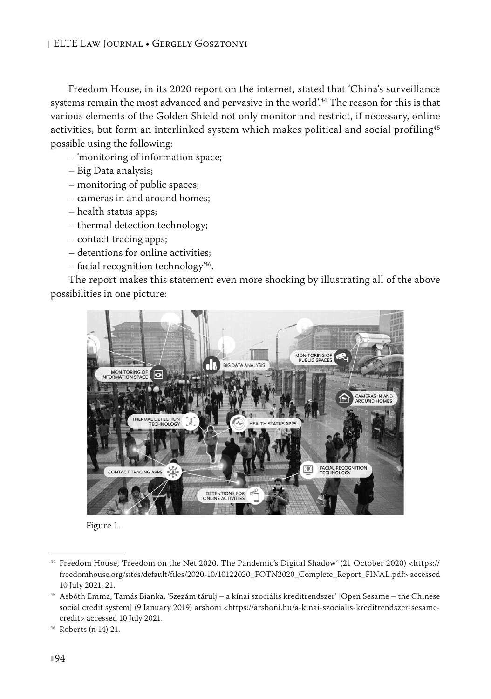Freedom House, in its 2020 report on the internet, stated that 'China's surveillance systems remain the most advanced and pervasive in the world'.44 The reason for this is that various elements of the Golden Shield not only monitor and restrict, if necessary, online activities, but form an interlinked system which makes political and social profiling<sup>45</sup> possible using the following:

- 'monitoring of information space;
- Big Data analysis;
- monitoring of public spaces;
- cameras in and around homes;
- health status apps;
- thermal detection technology;
- contact tracing apps;
- detentions for online activities;
- facial recognition technology'46.

The report makes this statement even more shocking by illustrating all of the above possibilities in one picture:





<sup>44</sup> Freedom House, 'Freedom on the Net 2020. The Pandemic's Digital Shadow' (21 October 2020) <https:// freedomhouse.org/sites/default/files/2020-10/10122020\_FOTN2020\_Complete\_Report\_FINAL.pdf> accessed 10 July 2021, 21.

<sup>45</sup> Asbóth Emma, Tamás Bianka, 'Szezám tárulj – a kínai szociális kreditrendszer' [Open Sesame – the Chinese social credit system] (9 January 2019) arsboni <https://arsboni.hu/a-kinai-szocialis-kreditrendszer-sesamecredit> accessed 10 July 2021.

<sup>46</sup> Roberts (n 14) 21.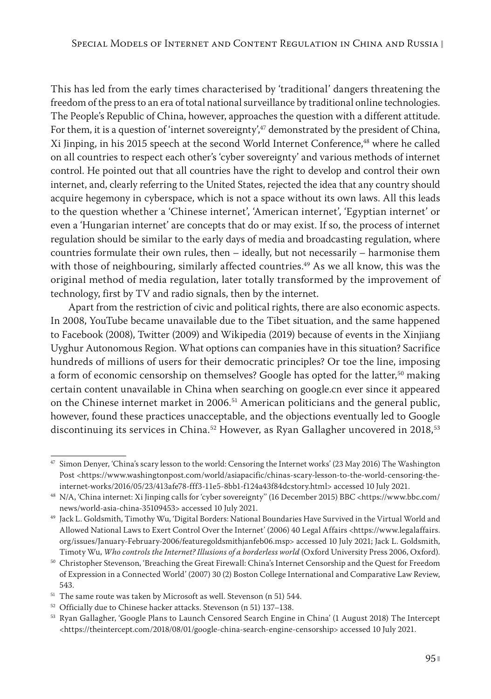This has led from the early times characterised by 'traditional' dangers threatening the freedom of the press to an era of total national surveillance by traditional online technologies. The People's Republic of China, however, approaches the question with a different attitude. For them, it is a question of 'internet sovereignty', $47$  demonstrated by the president of China, Xi Jinping, in his 2015 speech at the second World Internet Conference,<sup>48</sup> where he called on all countries to respect each other's 'cyber sovereignty' and various methods of internet control. He pointed out that all countries have the right to develop and control their own internet, and, clearly referring to the United States, rejected the idea that any country should acquire hegemony in cyberspace, which is not a space without its own laws. All this leads to the question whether a 'Chinese internet', 'American internet', 'Egyptian internet' or even a 'Hungarian internet' are concepts that do or may exist. If so, the process of internet regulation should be similar to the early days of media and broadcasting regulation, where countries formulate their own rules, then – ideally, but not necessarily – harmonise them with those of neighbouring, similarly affected countries.<sup>49</sup> As we all know, this was the original method of media regulation, later totally transformed by the improvement of technology, first by TV and radio signals, then by the internet.

Apart from the restriction of civic and political rights, there are also economic aspects. In 2008, YouTube became unavailable due to the Tibet situation, and the same happened to Facebook (2008), Twitter (2009) and Wikipedia (2019) because of events in the Xinjiang Uyghur Autonomous Region. What options can companies have in this situation? Sacrifice hundreds of millions of users for their democratic principles? Or toe the line, imposing a form of economic censorship on themselves? Google has opted for the latter,<sup>50</sup> making certain content unavailable in China when searching on google.cn ever since it appeared on the Chinese internet market in 2006.<sup>51</sup> American politicians and the general public, however, found these practices unacceptable, and the objections eventually led to Google discontinuing its services in China.<sup>52</sup> However, as Ryan Gallagher uncovered in 2018,<sup>53</sup>

<sup>47</sup> Simon Denyer, 'China's scary lesson to the world: Censoring the Internet works' (23 May 2016) The Washington Post <https://www.washingtonpost.com/world/asiapacific/chinas-scary-lesson-to-the-world-censoring-theinternet-works/2016/05/23/413afe78-fff3-11e5-8bb1-f124a43f84dcstory.html> accessed 10 July 2021.

<sup>48</sup> N/A, 'China internet: Xi Jinping calls for 'cyber sovereignty'' (16 December 2015) BBC <https://www.bbc.com/ news/world-asia-china-35109453> accessed 10 July 2021.

<sup>49</sup> Jack L. Goldsmith, Timothy Wu, 'Digital Borders: National Boundaries Have Survived in the Virtual World and Allowed National Laws to Exert Control Over the Internet' (2006) 40 Legal Affairs <https://www.legalaffairs. org/issues/January-February-2006/featuregoldsmithjanfeb06.msp> accessed 10 July 2021; Jack L. Goldsmith, Timoty Wu, *Who controls the Internet? Illusions of a borderless world* (Oxford University Press 2006, Oxford).

<sup>50</sup> Christopher Stevenson, 'Breaching the Great Firewall: China's Internet Censorship and the Quest for Freedom of Expression in a Connected World' (2007) 30 (2) Boston College International and Comparative Law Review, 543.

 $^{\rm 51}$  The same route was taken by Microsoft as well. Stevenson (n 51) 544.

<sup>52</sup> Officially due to Chinese hacker attacks. Stevenson (n 51) 137–138.

<sup>53</sup> Ryan Gallagher, 'Google Plans to Launch Censored Search Engine in China' (1 August 2018) The Intercept <https://theintercept.com/2018/08/01/google-china-search-engine-censorship> accessed 10 July 2021.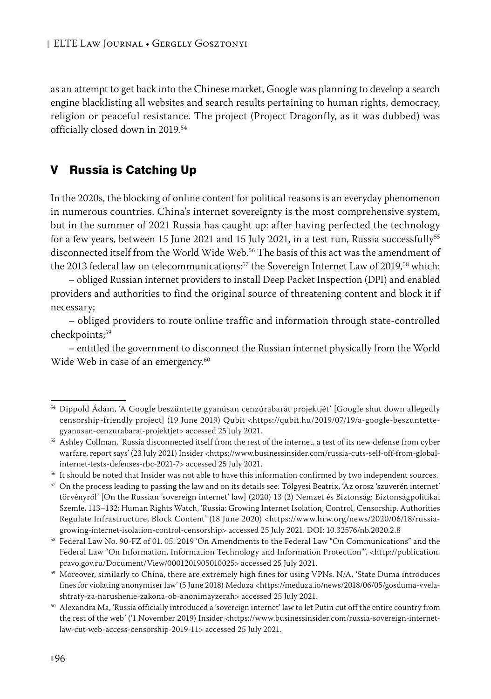as an attempt to get back into the Chinese market, Google was planning to develop a search engine blacklisting all websites and search results pertaining to human rights, democracy, religion or peaceful resistance. The project (Project Dragonfly, as it was dubbed) was officially closed down in 2019.54

## V Russia is Catching Up

In the 2020s, the blocking of online content for political reasons is an everyday phenomenon in numerous countries. China's internet sovereignty is the most comprehensive system, but in the summer of 2021 Russia has caught up: after having perfected the technology for a few years, between 15 June 2021 and 15 July 2021, in a test run, Russia successfully<sup>55</sup> disconnected itself from the World Wide Web.56 The basis of this act was the amendment of the 2013 federal law on telecommunications:<sup>57</sup> the Sovereign Internet Law of 2019,<sup>58</sup> which:

– obliged Russian internet providers to install Deep Packet Inspection (DPI) and enabled providers and authorities to find the original source of threatening content and block it if necessary;

– obliged providers to route online traffic and information through state-controlled checkpoints;<sup>59</sup>

– entitled the government to disconnect the Russian internet physically from the World Wide Web in case of an emergency.<sup>60</sup>

<sup>54</sup> Dippold Ádám, 'A Google beszüntette gyanúsan cenzúrabarát projektjét' [Google shut down allegedly censorship-friendly project] (19 June 2019) Qubit <https://qubit.hu/2019/07/19/a-google-beszuntettegyanusan-cenzurabarat-projektjet> accessed 25 July 2021.

<sup>55</sup> Ashley Collman, 'Russia disconnected itself from the rest of the internet, a test of its new defense from cyber warfare, report says' (23 July 2021) Insider <https://www.businessinsider.com/russia-cuts-self-off-from-globalinternet-tests-defenses-rbc-2021-7> accessed 25 July 2021.

<sup>56</sup> It should be noted that Insider was not able to have this information confirmed by two independent sources.

<sup>57</sup> On the process leading to passing the law and on its details see: Tölgyesi Beatrix, 'Az orosz 'szuverén internet' törvényről' [On the Russian 'sovereign internet' law] (2020) 13 (2) Nemzet és Biztonság: Biztonságpolitikai Szemle, 113–132; Human Rights Watch, 'Russia: Growing Internet Isolation, Control, Censorship. Authorities Regulate Infrastructure, Block Content' (18 June 2020) <https://www.hrw.org/news/2020/06/18/russiagrowing-internet-isolation-control-censorship> accessed 25 July 2021. DOI: 10.32576/nb.2020.2.8

<sup>58</sup> Federal Law No. 90-FZ of 01. 05. 2019 'On Amendments to the Federal Law "On Communications" and the Federal Law "On Information, Information Technology and Information Protection"', <http://publication. pravo.gov.ru/Document/View/0001201905010025> accessed 25 July 2021.

<sup>&</sup>lt;sup>59</sup> Moreover, similarly to China, there are extremely high fines for using VPNs. N/A, 'State Duma introduces fines for violating anonymiser law' (5 June 2018) Meduza <https://meduza.io/news/2018/06/05/gosduma-vvelashtrafy-za-narushenie-zakona-ob-anonimayzerah> accessed 25 July 2021.

 $^{60}$  Alexandra Ma, 'Russia officially introduced a 'sovereign internet' law to let Putin cut off the entire country from the rest of the web' ('1 November 2019) Insider <https://www.businessinsider.com/russia-sovereign-internetlaw-cut-web-access-censorship-2019-11> accessed 25 July 2021.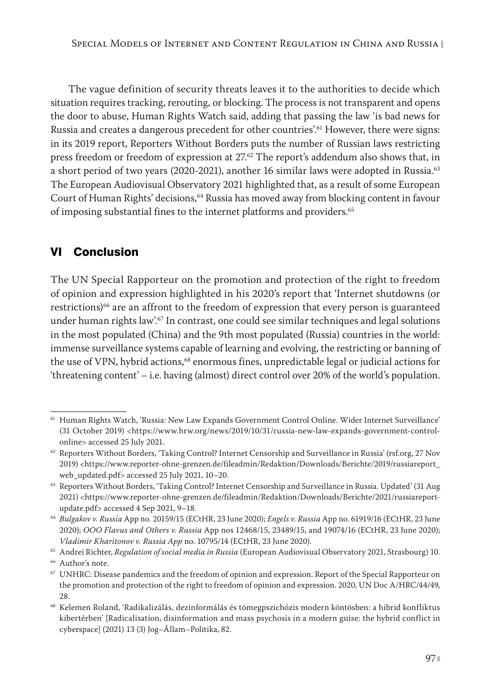The vague definition of security threats leaves it to the authorities to decide which situation requires tracking, rerouting, or blocking. The process is not transparent and opens the door to abuse, Human Rights Watch said, adding that passing the law 'is bad news for Russia and creates a dangerous precedent for other countries'.<sup>61</sup> However, there were signs: in its 2019 report, Reporters Without Borders puts the number of Russian laws restricting press freedom or freedom of expression at  $27<sup>62</sup>$  The report's addendum also shows that, in a short period of two years (2020-2021), another 16 similar laws were adopted in Russia.<sup>63</sup> The European Audiovisual Observatory 2021 highlighted that, as a result of some European Court of Human Rights' decisions,<sup>64</sup> Russia has moved away from blocking content in favour of imposing substantial fines to the internet platforms and providers.<sup>65</sup>

## VI Conclusion

The UN Special Rapporteur on the promotion and protection of the right to freedom of opinion and expression highlighted in his 2020's report that 'Internet shutdowns (or restrictions)<sup>66</sup> are an affront to the freedom of expression that every person is guaranteed under human rights law'.<sup>67</sup> In contrast, one could see similar techniques and legal solutions in the most populated (China) and the 9th most populated (Russia) countries in the world: immense surveillance systems capable of learning and evolving, the restricting or banning of the use of VPN, hybrid actions,<sup>68</sup> enormous fines, unpredictable legal or judicial actions for 'threatening content' – i.e. having (almost) direct control over 20% of the world's population.

<sup>61</sup> Human Rights Watch, 'Russia: New Law Expands Government Control Online. Wider Internet Surveillance' (31 October 2019) <https://www.hrw.org/news/2019/10/31/russia-new-law-expands-government-controlonline> accessed 25 July 2021.

<sup>62</sup> Reporters Without Borders, 'Taking Control? Internet Censorship and Surveillance in Russia' (rsf.org, 27 Nov 2019) <https://www.reporter-ohne-grenzen.de/fileadmin/Redaktion/Downloads/Berichte/2019/russiareport\_ web\_updated.pdf> accessed 25 July 2021, 10–20.

<sup>63</sup> Reporters Without Borders, 'Taking Control? Internet Censorship and Surveillance in Russia. Updated' (31 Aug 2021) <https://www.reporter-ohne-grenzen.de/fileadmin/Redaktion/Downloads/Berichte/2021/russiareportupdate.pdf> accessed 4 Sep 2021, 9–18.

<sup>64</sup> *Bulgakov v. Russia* App no. 20159/15 (ECtHR, 23 June 2020); *Engels v. Russia* App no. 61919/16 (ECtHR, 23 June 2020); *OOO Flavus and Others v. Russia* App nos 12468/15, 23489/15, and 19074/16 (ECtHR, 23 June 2020); *Vladimir Kharitonov v. Russia App* no. 10795/14 (ECtHR, 23 June 2020).

<sup>65</sup> Andrei Richter, *Regulation of social media in Russia* (European Audiovisual Observatory 2021, Strasbourg) 10.

<sup>&</sup>lt;sup>66</sup> Author's note.

<sup>67</sup> UNHRC: Disease pandemics and the freedom of opinion and expression. Report of the Special Rapporteur on the promotion and protection of the right to freedom of opinion and expression. 2020, UN Doc A/HRC/44/49, 28.

<sup>68</sup> Kelemen Roland, 'Radikalizálás, dezinformálás és tömegpszichózis modern köntösben: a hibrid konfliktus kibertérben' [Radicalisation, disinformation and mass psychosis in a modern guise: the hybrid conflict in cyberspace] (2021) 13 (3) Jog–Állam–Politika, 82.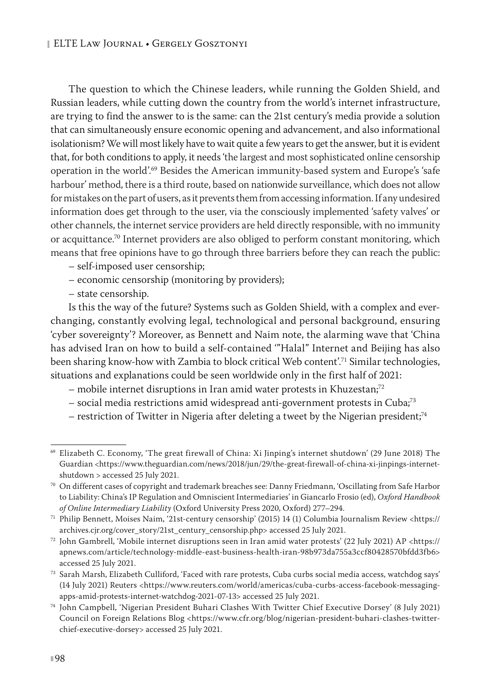The question to which the Chinese leaders, while running the Golden Shield, and Russian leaders, while cutting down the country from the world's internet infrastructure, are trying to find the answer to is the same: can the 21st century's media provide a solution that can simultaneously ensure economic opening and advancement, and also informational isolationism? We will most likely have to wait quite a few years to get the answer, but it is evident that, for both conditions to apply, it needs 'the largest and most sophisticated online censorship operation in the world'.69 Besides the American immunity-based system and Europe's 'safe harbour' method, there is a third route, based on nationwide surveillance, which does not allow for mistakes on the part of users, as it prevents them from accessing information. If any undesired information does get through to the user, via the consciously implemented 'safety valves' or other channels, the internet service providers are held directly responsible, with no immunity or acquittance.<sup>70</sup> Internet providers are also obliged to perform constant monitoring, which means that free opinions have to go through three barriers before they can reach the public:

– self-imposed user censorship;

- economic censorship (monitoring by providers);
- state censorship.

Is this the way of the future? Systems such as Golden Shield, with a complex and everchanging, constantly evolving legal, technological and personal background, ensuring 'cyber sovereignty'? Moreover, as Bennett and Naim note, the alarming wave that 'China has advised Iran on how to build a self-contained '"Halal" Internet and Beijing has also been sharing know-how with Zambia to block critical Web content'.71 Similar technologies, situations and explanations could be seen worldwide only in the first half of 2021:

- mobile internet disruptions in Iran amid water protests in Khuzestan;72
- social media restrictions amid widespread anti-government protests in Cuba;73
- restriction of Twitter in Nigeria after deleting a tweet by the Nigerian president;<sup>74</sup>

<sup>69</sup> Elizabeth C. Economy, 'The great firewall of China: Xi Jinping's internet shutdown' (29 June 2018) The Guardian <https://www.theguardian.com/news/2018/jun/29/the-great-firewall-of-china-xi-jinpings-internetshutdown > accessed 25 July 2021.

<sup>70</sup> On different cases of copyright and trademark breaches see: Danny Friedmann, 'Oscillating from Safe Harbor to Liability: China's IP Regulation and Omniscient Intermediaries' in Giancarlo Frosio (ed), *Oxford Handbook of Online Intermediary Liability* (Oxford University Press 2020, Oxford) 277–294.

<sup>71</sup> Philip Bennett, Moises Naim, '21st-century censorship' (2015) 14 (1) Columbia Journalism Review <https:// archives.cjr.org/cover\_story/21st\_century\_censorship.php> accessed 25 July 2021.

<sup>72</sup> John Gambrell, 'Mobile internet disruptions seen in Iran amid water protests' (22 July 2021) AP <https:// apnews.com/article/technology-middle-east-business-health-iran-98b973da755a3ccf80428570bfdd3fb6> accessed 25 July 2021.

<sup>73</sup> Sarah Marsh, Elizabeth Culliford, 'Faced with rare protests, Cuba curbs social media access, watchdog says' (14 July 2021) Reuters <https://www.reuters.com/world/americas/cuba-curbs-access-facebook-messagingapps-amid-protests-internet-watchdog-2021-07-13> accessed 25 July 2021.

<sup>74</sup> John Campbell, 'Nigerian President Buhari Clashes With Twitter Chief Executive Dorsey' (8 July 2021) Council on Foreign Relations Blog <https://www.cfr.org/blog/nigerian-president-buhari-clashes-twitterchief-executive-dorsey> accessed 25 July 2021.